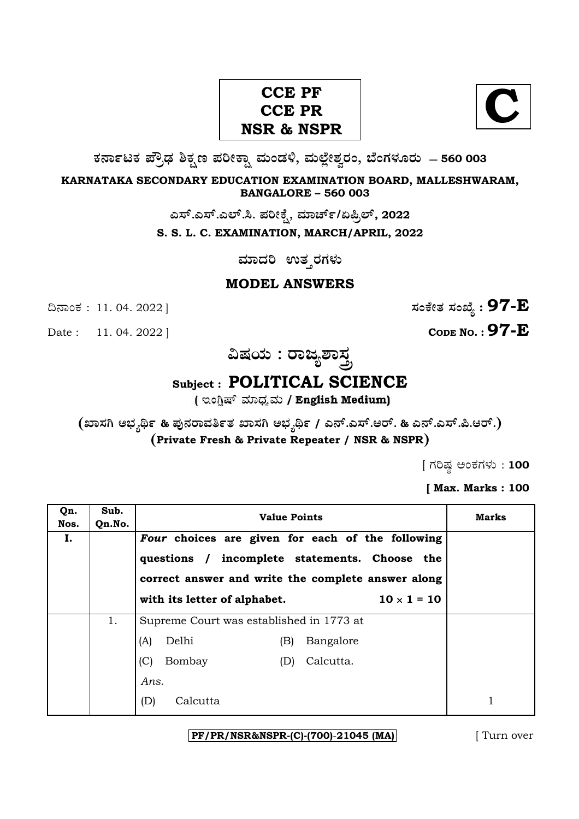# **CCE PF CCE PR NSR & NSPR**

**C**

**O⁄´¤%lO⁄ ÆË√v⁄ ÃO⁄–y Æ⁄¬fiO¤– »⁄flMs⁄ÿ, »⁄fl≈Ê«fiÀ⁄ ¡⁄M, ∑ÊMV⁄◊⁄‡¡⁄fl — 560 003** 

**KARNATAKA SECONDARY EDUCATION EXAMINATION BOARD, MALLESHWARAM, BANGALORE – 560 003** 

ಎಸ್.ಎಸ್.ಎಲ್.ಸಿ. ಪರೀಕ್ಷೆ, ಮಾರ್ಚ್/ಏಪ್ರಿಲ್, 2022

**S. S. L. C. EXAMINATION, MARCH/APRIL, 2022** 

ಮಾದರಿ ಉತ**್ತರಗಳು** 

#### **MODEL ANSWERS**

**CODE NO. : 97-E** 

ದಿನಾಂಕ : 11. 04. 2022 ]  $\vec{B}$ 

**…Œ⁄æ⁄fl : ¡¤d¿À¤—⁄°**

### **Subject : POLITICAL SCIENCE**

( ಇಂಗ್ಲಿಷ್ ಮಾಧ್ಯಮ / English Medium)

**(S¤—⁄W @∫⁄¥¿£% & Æ⁄'¥´⁄¡¤»⁄~%}⁄ S¤—⁄W @∫⁄¥¿£% / G´È.G—È.A¡È. & G´È.G—È.Ø.A¡È.) (Private Fresh & Private Repeater / NSR & NSPR)**

 $[$  ಗರಿಷ್ಣ ಅಂಕಗಳು : 100

**[ Max. Marks : 100** 

| Qn.<br>Nos. | Sub.<br>Qn.No. | <b>Value Points</b>                                                                                 | <b>Marks</b>       |  |
|-------------|----------------|-----------------------------------------------------------------------------------------------------|--------------------|--|
| Ι.          |                | Four choices are given for each of the following                                                    |                    |  |
|             |                | questions / incomplete statements. Choose the<br>correct answer and write the complete answer along |                    |  |
|             |                | with its letter of alphabet.                                                                        | $10 \times 1 = 10$ |  |
|             |                |                                                                                                     |                    |  |
|             | 1.             | Supreme Court was established in 1773 at                                                            |                    |  |
|             |                | Delhi<br>(A)                                                                                        | Bangalore<br>(B)   |  |
|             |                | (C)<br>Bombay                                                                                       | Calcutta.<br>(D)   |  |
|             |                | Ans.                                                                                                |                    |  |
|             |                | (D)<br>Calcutta                                                                                     |                    |  |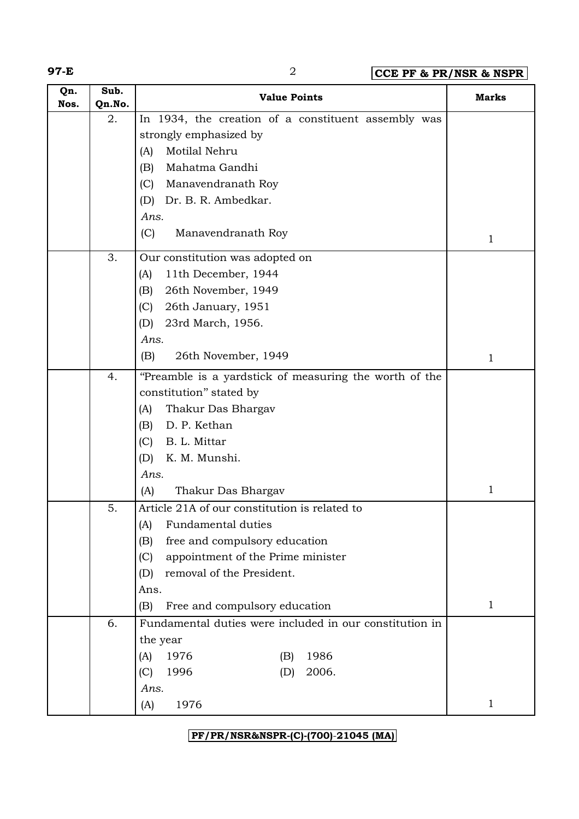**97-E** 2 **CCE PF & PR/NSR & NSPR**

| Qn.<br>Nos. | Sub.<br>Qn.No. | <b>Value Points</b>                                     | <b>Marks</b> |
|-------------|----------------|---------------------------------------------------------|--------------|
|             | 2.             | In 1934, the creation of a constituent assembly was     |              |
|             |                | strongly emphasized by                                  |              |
|             |                | Motilal Nehru<br>(A)                                    |              |
|             |                | Mahatma Gandhi<br>(B)                                   |              |
|             |                | (C)<br>Manavendranath Roy                               |              |
|             |                | Dr. B. R. Ambedkar.<br>(D)                              |              |
|             |                | Ans.                                                    |              |
|             |                | (C)<br>Manavendranath Roy                               | $\mathbf 1$  |
|             | 3.             | Our constitution was adopted on                         |              |
|             |                | 11th December, 1944<br>(A)                              |              |
|             |                | (B)<br>26th November, 1949                              |              |
|             |                | (C)<br>26th January, 1951                               |              |
|             |                | (D)<br>23rd March, 1956.                                |              |
|             |                | Ans.                                                    |              |
|             |                | (B)<br>26th November, 1949                              | $\mathbf 1$  |
|             | 4.             | "Preamble is a yardstick of measuring the worth of the  |              |
|             |                | constitution" stated by                                 |              |
|             |                | (A)<br>Thakur Das Bhargav                               |              |
|             |                | (B)<br>D. P. Kethan                                     |              |
|             |                | (C)<br>B. L. Mittar                                     |              |
|             |                | (D)<br>K. M. Munshi.                                    |              |
|             |                | Ans.                                                    |              |
|             |                | Thakur Das Bhargav<br>(A)                               | $\mathbf{1}$ |
|             | 5.             | Article 21A of our constitution is related to           |              |
|             |                | <b>Fundamental duties</b><br>(A)                        |              |
|             |                | free and compulsory education<br>(B)                    |              |
|             |                | appointment of the Prime minister<br>(C)                |              |
|             |                | removal of the President.<br>(D)                        |              |
|             |                | Ans.                                                    |              |
|             |                | Free and compulsory education<br>(B)                    | $\mathbf{1}$ |
|             | 6.             | Fundamental duties were included in our constitution in |              |
|             |                | the year                                                |              |
|             |                | 1976<br>1986<br>(A)<br>(B)                              |              |
|             |                | 1996<br>2006.<br>(C)<br>(D)                             |              |
|             |                | Ans.                                                    |              |
|             |                | 1976<br>(A)                                             | $\mathbf{1}$ |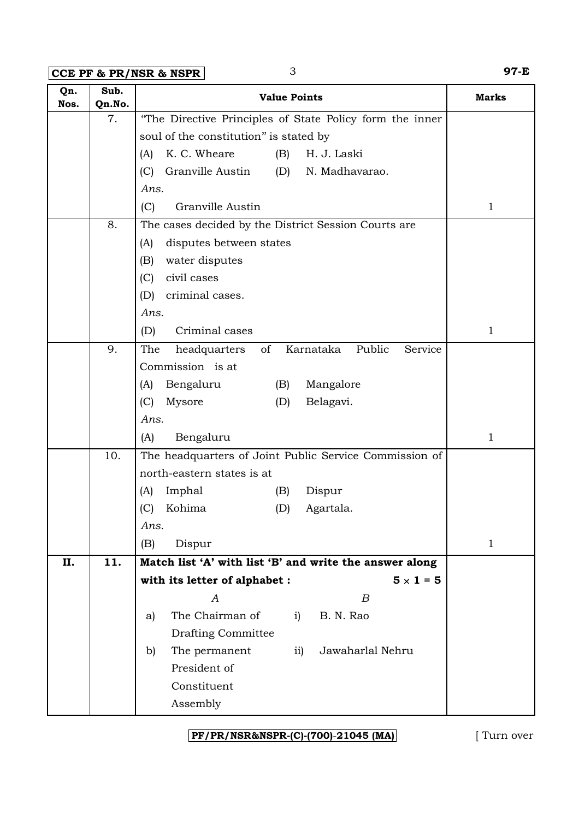**CCE PF & PR/NSR & NSPR** 3 97-E

| Qn.<br>Nos. | Sub.<br>Qn.No. | <b>Value Points</b>                                              | <b>Marks</b> |
|-------------|----------------|------------------------------------------------------------------|--------------|
|             | 7.             | "The Directive Principles of State Policy form the inner         |              |
|             |                | soul of the constitution" is stated by                           |              |
|             |                | K. C. Wheare<br>H. J. Laski<br>(B)<br>(A)                        |              |
|             |                | Granville Austin<br>N. Madhavarao.<br>(C)<br>(D)                 |              |
|             |                | Ans.                                                             |              |
|             |                | (C)<br>Granville Austin                                          | $\mathbf{1}$ |
|             | 8.             | The cases decided by the District Session Courts are             |              |
|             |                | disputes between states<br>(A)                                   |              |
|             |                | (B)<br>water disputes                                            |              |
|             |                | civil cases<br>(C)                                               |              |
|             |                | (D)<br>criminal cases.                                           |              |
|             |                | Ans.                                                             |              |
|             |                | Criminal cases<br>(D)                                            | $\mathbf 1$  |
|             | 9.             | Karnataka<br>Public<br>Service<br>The<br>headquarters<br>of      |              |
|             |                | Commission is at                                                 |              |
|             |                | Mangalore<br>Bengaluru<br>(B)<br>(A)                             |              |
|             |                | (C)<br>Mysore<br>(D)<br>Belagavi.                                |              |
|             |                | Ans.                                                             |              |
|             |                | Bengaluru<br>(A)                                                 | $\mathbf 1$  |
|             | 10.            | The headquarters of Joint Public Service Commission of           |              |
|             |                | north-eastern states is at                                       |              |
|             |                | Imphal<br>Dispur<br>(B)<br>(A)                                   |              |
|             |                | Kohima<br>(C)<br>(D)<br>Agartala.                                |              |
|             |                | Ans.                                                             |              |
|             |                | (B)<br>Dispur                                                    | $\mathbf{1}$ |
| II.         | 11.            | Match list 'A' with list 'B' and write the answer along          |              |
|             |                | with its letter of alphabet :<br>$5 \times 1 = 5$                |              |
|             |                | $\boldsymbol{B}$<br>A                                            |              |
|             |                | The Chairman of<br>B. N. Rao<br>i)<br>a)                         |              |
|             |                | <b>Drafting Committee</b><br>Jawaharlal Nehru<br>$\overline{11}$ |              |
|             |                | The permanent<br>b)<br>President of                              |              |
|             |                | Constituent                                                      |              |
|             |                | Assembly                                                         |              |
|             |                |                                                                  |              |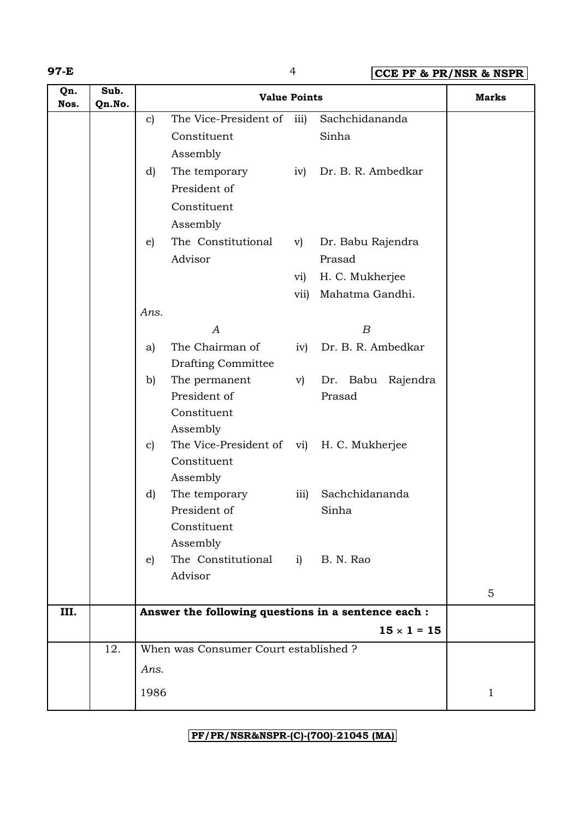### **97-E** 4 **CCE PF & PR/NSR & NSPR**

| Qn.<br>Nos. | Sub.<br>Qn.No. |              | <b>Value Points</b>                                      |                  |                    | <b>Marks</b> |
|-------------|----------------|--------------|----------------------------------------------------------|------------------|--------------------|--------------|
|             |                | $\mathbf{c}$ | The Vice-President of iii)                               |                  | Sachchidananda     |              |
|             |                |              | Constituent                                              |                  | Sinha              |              |
|             |                |              | Assembly                                                 |                  |                    |              |
|             |                | d)           | The temporary                                            | iv)              | Dr. B. R. Ambedkar |              |
|             |                |              | President of                                             |                  |                    |              |
|             |                |              | Constituent                                              |                  |                    |              |
|             |                |              | Assembly                                                 |                  |                    |              |
|             |                | e)           | The Constitutional                                       | $\rm v)$         | Dr. Babu Rajendra  |              |
|             |                |              | Advisor                                                  |                  | Prasad             |              |
|             |                |              |                                                          | vi)              | H. C. Mukherjee    |              |
|             |                |              |                                                          | vii)             | Mahatma Gandhi.    |              |
|             |                | Ans.         |                                                          |                  |                    |              |
|             |                |              | $\boldsymbol{A}$                                         |                  | $\boldsymbol{B}$   |              |
|             |                | a)           | The Chairman of                                          | iv)              | Dr. B. R. Ambedkar |              |
|             |                |              | <b>Drafting Committee</b>                                |                  |                    |              |
|             |                | b)           | The permanent                                            | $\rm v)$         | Dr. Babu Rajendra  |              |
|             |                |              | President of                                             |                  | Prasad             |              |
|             |                |              | Constituent                                              |                  |                    |              |
|             |                |              | Assembly                                                 |                  |                    |              |
|             |                | $\mathbf{c}$ | The Vice-President of vi) H. C. Mukherjee<br>Constituent |                  |                    |              |
|             |                |              | Assembly                                                 |                  |                    |              |
|             |                | d)           | The temporary                                            | $\overline{111}$ | Sachchidananda     |              |
|             |                |              | President of                                             |                  | Sinha              |              |
|             |                |              | Constituent                                              |                  |                    |              |
|             |                |              | Assembly                                                 |                  |                    |              |
|             |                | $\epsilon$ ) | The Constitutional                                       |                  | i) B. N. Rao       |              |
|             |                |              | Advisor                                                  |                  |                    |              |
|             |                |              |                                                          |                  |                    | 5            |
| III.        |                |              | Answer the following questions in a sentence each :      |                  |                    |              |
|             |                |              |                                                          |                  | $15 \times 1 = 15$ |              |
|             | 12.            |              | When was Consumer Court established ?                    |                  |                    |              |
|             |                | Ans.         |                                                          |                  |                    |              |
|             |                | 1986         |                                                          |                  |                    | $\mathbf{1}$ |
|             |                |              |                                                          |                  |                    |              |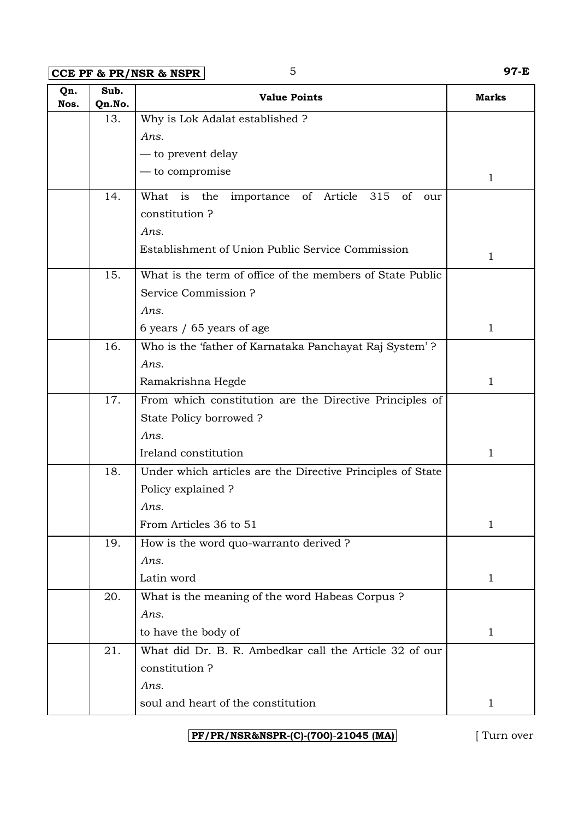**CCE PF & PR/NSR & NSPR** 5 **97-E** 

| Qn.<br>Nos. | Sub.<br>Qn.No. | <b>Value Points</b>                                        | <b>Marks</b> |
|-------------|----------------|------------------------------------------------------------|--------------|
|             | 13.            | Why is Lok Adalat established ?                            |              |
|             |                | Ans.                                                       |              |
|             |                | — to prevent delay                                         |              |
|             |                | — to compromise                                            | 1            |
|             | 14.            | What is the importance of Article<br>315<br>of<br>our      |              |
|             |                | constitution?                                              |              |
|             |                | Ans.                                                       |              |
|             |                | Establishment of Union Public Service Commission           | 1            |
|             | 15.            | What is the term of office of the members of State Public  |              |
|             |                | Service Commission?                                        |              |
|             |                | Ans.                                                       |              |
|             |                | 6 years / 65 years of age                                  | 1            |
|             | 16.            | Who is the 'father of Karnataka Panchayat Raj System'?     |              |
|             |                | Ans.                                                       |              |
|             |                | Ramakrishna Hegde                                          | 1            |
|             | 17.            | From which constitution are the Directive Principles of    |              |
|             |                | State Policy borrowed?                                     |              |
|             |                | Ans.                                                       |              |
|             |                | Ireland constitution                                       | 1            |
|             | 18.            | Under which articles are the Directive Principles of State |              |
|             |                | Policy explained ?                                         |              |
|             |                | Ans.                                                       |              |
|             |                | From Articles 36 to 51                                     | $\mathbf 1$  |
|             | 19.            | How is the word quo-warranto derived ?                     |              |
|             |                | Ans.                                                       |              |
|             |                | Latin word                                                 | $\mathbf{1}$ |
|             | 20.            | What is the meaning of the word Habeas Corpus?             |              |
|             |                | Ans.                                                       |              |
|             |                | to have the body of                                        | 1            |
|             | 21.            | What did Dr. B. R. Ambedkar call the Article 32 of our     |              |
|             |                | constitution?                                              |              |
|             |                | Ans.                                                       |              |
|             |                | soul and heart of the constitution                         | 1            |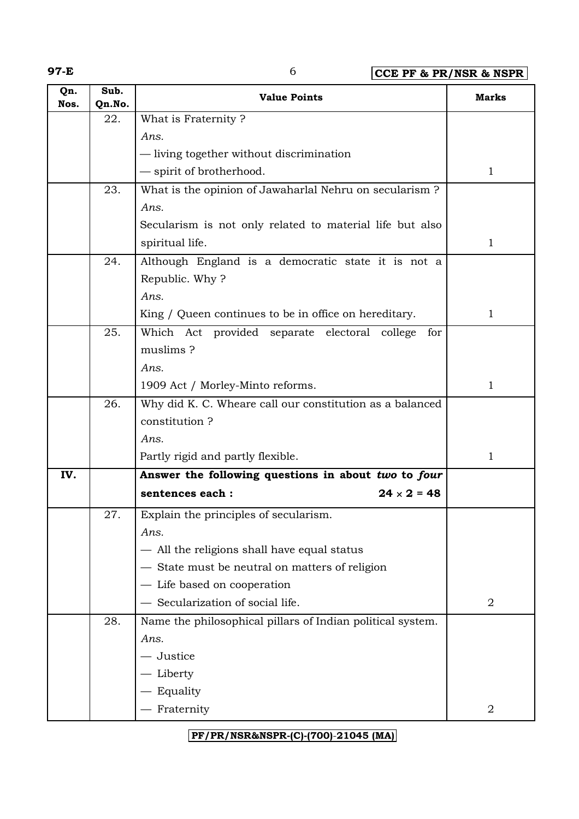**97-E** 6 **CCE PF & PR/NSR & NSPR**

| Qn.<br>Nos. | Sub.<br>Qn.No. | <b>Value Points</b>                                        | Marks        |
|-------------|----------------|------------------------------------------------------------|--------------|
|             | 22.            | What is Fraternity?                                        |              |
|             |                | Ans.                                                       |              |
|             |                | - living together without discrimination                   |              |
|             |                | - spirit of brotherhood.                                   | 1            |
|             | 23.            | What is the opinion of Jawaharlal Nehru on secularism?     |              |
|             |                | Ans.                                                       |              |
|             |                | Secularism is not only related to material life but also   |              |
|             |                | spiritual life.                                            | 1            |
|             | 24.            | Although England is a democratic state it is not a         |              |
|             |                | Republic. Why?                                             |              |
|             |                | Ans.                                                       |              |
|             |                | King / Queen continues to be in office on hereditary.      | $\mathbf{1}$ |
|             | 25.            | Which Act provided separate electoral college<br>for       |              |
|             |                | muslims?                                                   |              |
|             |                | Ans.                                                       |              |
|             |                | 1909 Act / Morley-Minto reforms.                           | $\mathbf 1$  |
|             | 26.            | Why did K. C. Wheare call our constitution as a balanced   |              |
|             |                | constitution?                                              |              |
|             |                | Ans.                                                       |              |
|             |                | Partly rigid and partly flexible.                          | 1            |
| IV.         |                | Answer the following questions in about two to four        |              |
|             |                | $24 \times 2 = 48$<br>sentences each :                     |              |
|             | 27.            | Explain the principles of secularism.                      |              |
|             |                | Ans.                                                       |              |
|             |                | - All the religions shall have equal status                |              |
|             |                | - State must be neutral on matters of religion             |              |
|             |                | - Life based on cooperation                                |              |
|             |                | - Secularization of social life.                           | 2            |
|             | 28.            | Name the philosophical pillars of Indian political system. |              |
|             |                | Ans.                                                       |              |
|             |                | - Justice                                                  |              |
|             |                | — Liberty                                                  |              |
|             |                | - Equality                                                 |              |
|             |                | - Fraternity                                               | 2            |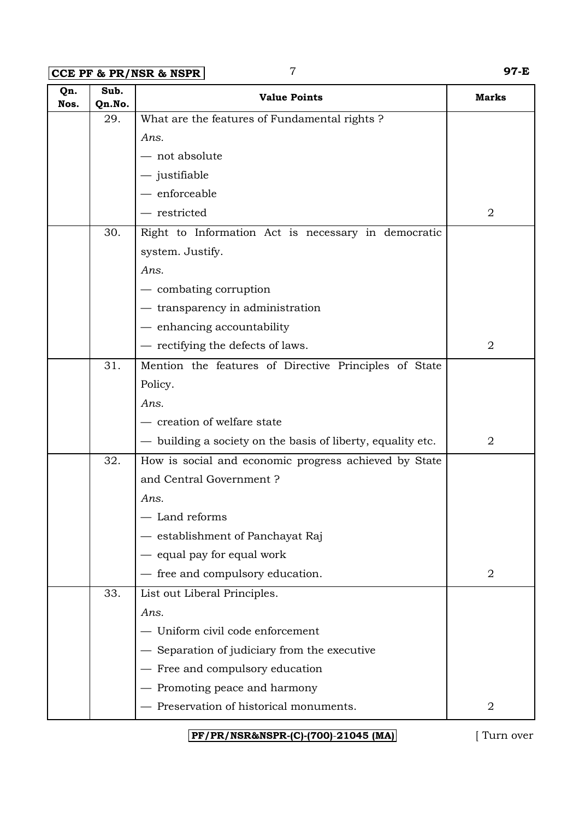**CCE PF & PR/NSR & NSPR** 7 **97-E**

| Qn.<br>Nos. | Sub.<br>Qn.No. | <b>Value Points</b>                                         | <b>Marks</b>     |
|-------------|----------------|-------------------------------------------------------------|------------------|
|             | 29.            | What are the features of Fundamental rights?                |                  |
|             |                | Ans.                                                        |                  |
|             |                | $-$ not absolute                                            |                  |
|             |                | $-$ justifiable                                             |                  |
|             |                | $-$ enforceable                                             |                  |
|             |                | - restricted                                                | 2                |
|             | 30.            | Right to Information Act is necessary in democratic         |                  |
|             |                | system. Justify.                                            |                  |
|             |                | Ans.                                                        |                  |
|             |                | — combating corruption                                      |                  |
|             |                | - transparency in administration                            |                  |
|             |                | - enhancing accountability                                  |                  |
|             |                | - rectifying the defects of laws.                           | $\overline{2}$   |
|             | 31.            | Mention the features of Directive Principles of State       |                  |
|             |                | Policy.                                                     |                  |
|             |                | Ans.                                                        |                  |
|             |                | - creation of welfare state                                 |                  |
|             |                | — building a society on the basis of liberty, equality etc. | 2                |
|             | 32.            | How is social and economic progress achieved by State       |                  |
|             |                | and Central Government?                                     |                  |
|             |                | Ans.                                                        |                  |
|             |                | - Land reforms                                              |                  |
|             |                | establishment of Panchayat Raj                              |                  |
|             |                | equal pay for equal work                                    |                  |
|             |                | - free and compulsory education.                            | $\boldsymbol{2}$ |
|             | 33.            | List out Liberal Principles.                                |                  |
|             |                | Ans.                                                        |                  |
|             |                | Uniform civil code enforcement                              |                  |
|             |                | - Separation of judiciary from the executive                |                  |
|             |                | Free and compulsory education                               |                  |
|             |                | Promoting peace and harmony                                 |                  |
|             |                | - Preservation of historical monuments.                     | $\overline{2}$   |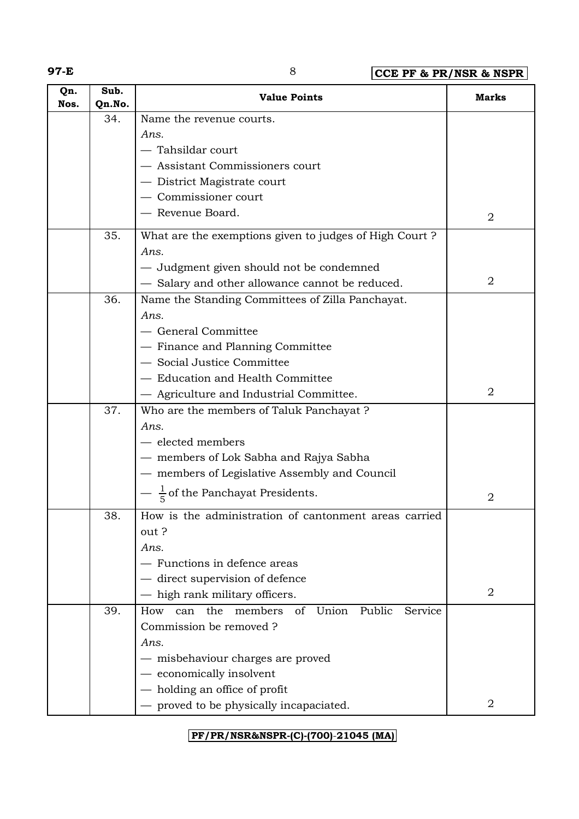**97-E** 8 **CCE PF & PR/NSR & NSPR**

| Qn.<br>Nos. | Sub.<br>Qn.No. | <b>Value Points</b>                                           | <b>Marks</b>   |
|-------------|----------------|---------------------------------------------------------------|----------------|
|             | 34.            | Name the revenue courts.                                      |                |
|             |                | Ans.                                                          |                |
|             |                | - Tahsildar court                                             |                |
|             |                | - Assistant Commissioners court                               |                |
|             |                | - District Magistrate court                                   |                |
|             |                | Commissioner court                                            |                |
|             |                | - Revenue Board.                                              | 2              |
|             | 35.            | What are the exemptions given to judges of High Court?        |                |
|             |                | Ans.                                                          |                |
|             |                | - Judgment given should not be condemned                      |                |
|             |                | - Salary and other allowance cannot be reduced.               | 2              |
|             | 36.            | Name the Standing Committees of Zilla Panchayat.              |                |
|             |                | Ans.                                                          |                |
|             |                | - General Committee                                           |                |
|             |                | - Finance and Planning Committee                              |                |
|             |                | - Social Justice Committee                                    |                |
|             |                | - Education and Health Committee                              |                |
|             |                | - Agriculture and Industrial Committee.                       | 2              |
|             | 37.            | Who are the members of Taluk Panchayat ?                      |                |
|             |                | Ans.                                                          |                |
|             |                | - elected members                                             |                |
|             |                | — members of Lok Sabha and Rajya Sabha                        |                |
|             |                | - members of Legislative Assembly and Council                 |                |
|             |                | $-\frac{1}{5}$ of the Panchayat Presidents.                   | $\overline{2}$ |
|             | 38.            | How is the administration of cantonment areas carried         |                |
|             |                | out?                                                          |                |
|             |                | Ans.                                                          |                |
|             |                | - Functions in defence areas                                  |                |
|             |                | - direct supervision of defence                               |                |
|             |                | high rank military officers.                                  | 2              |
|             | 39.            | members<br>of Union<br>Public<br>the<br>Service<br>How<br>can |                |
|             |                | Commission be removed?                                        |                |
|             |                | Ans.                                                          |                |
|             |                | — misbehaviour charges are proved                             |                |
|             |                | - economically insolvent                                      |                |
|             |                | holding an office of profit                                   |                |
|             |                | - proved to be physically incapaciated.                       | 2              |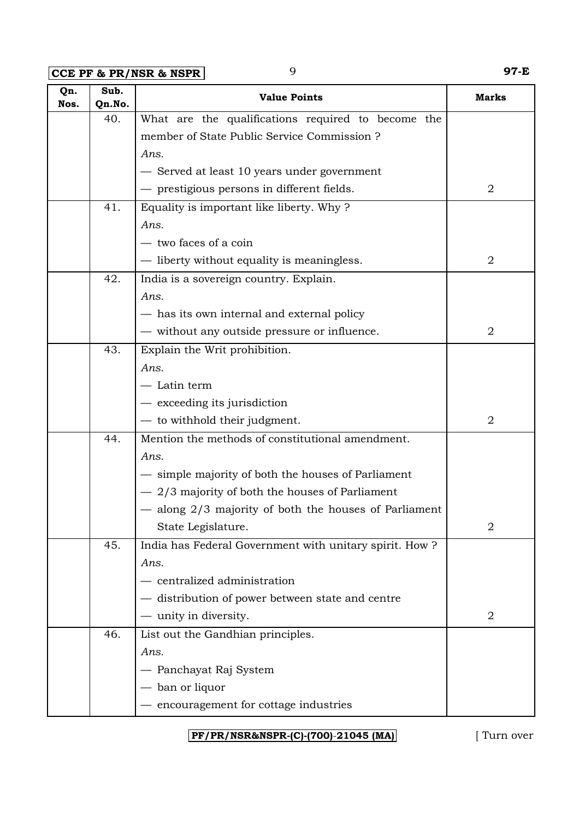**CCE PF & PR/NSR & NSPR** 9 97-E

| Qn.<br>Nos. | Sub.<br>Qn.No. | <b>Value Points</b>                                       | <b>Marks</b>   |
|-------------|----------------|-----------------------------------------------------------|----------------|
|             | 40.            | What are the qualifications required to become the        |                |
|             |                | member of State Public Service Commission ?               |                |
|             |                | Ans.                                                      |                |
|             |                | - Served at least 10 years under government               |                |
|             |                | - prestigious persons in different fields.                | 2              |
|             | 41.            | Equality is important like liberty. Why?                  |                |
|             |                | Ans.                                                      |                |
|             |                | - two faces of a coin                                     |                |
|             |                | — liberty without equality is meaningless.                | 2              |
|             | 42.            | India is a sovereign country. Explain.                    |                |
|             |                | Ans.                                                      |                |
|             |                | - has its own internal and external policy                |                |
|             |                | — without any outside pressure or influence.              | $\overline{2}$ |
|             | 43.            | Explain the Writ prohibition.                             |                |
|             |                | Ans.                                                      |                |
|             |                | — Latin term                                              |                |
|             |                | $-$ exceeding its jurisdiction                            |                |
|             |                | - to withhold their judgment.                             | 2              |
|             | 44.            | Mention the methods of constitutional amendment.          |                |
|             |                | Ans.                                                      |                |
|             |                | - simple majority of both the houses of Parliament        |                |
|             |                | $-2/3$ majority of both the houses of Parliament          |                |
|             |                | $-$ along $2/3$ majority of both the houses of Parliament |                |
|             |                | State Legislature.                                        | $\overline{2}$ |
|             | 45.            | India has Federal Government with unitary spirit. How ?   |                |
|             |                | Ans.                                                      |                |
|             |                | - centralized administration                              |                |
|             |                | - distribution of power between state and centre          |                |
|             |                | — unity in diversity.                                     | 2              |
|             | 46.            | List out the Gandhian principles.                         |                |
|             |                | Ans.                                                      |                |
|             |                | — Panchayat Raj System                                    |                |
|             |                | — ban or liquor                                           |                |
|             |                | - encouragement for cottage industries                    |                |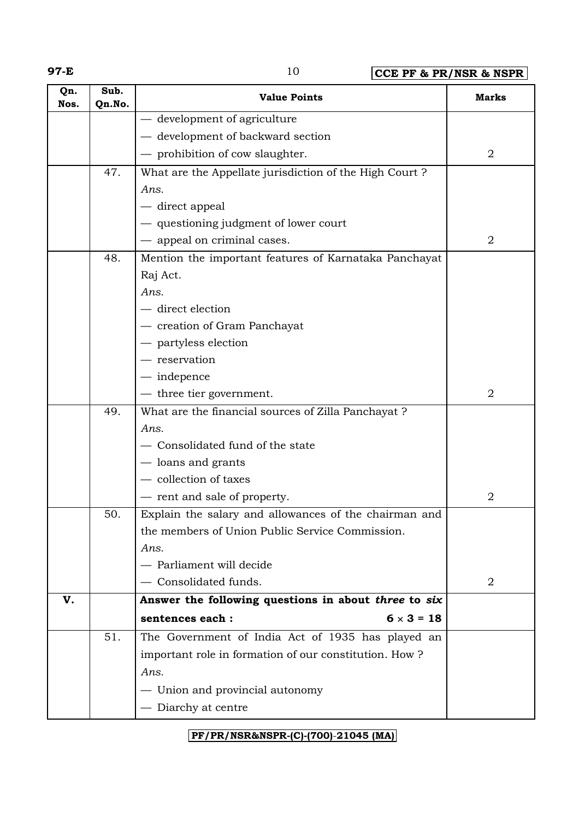| ٠  |
|----|
| ۰. |

**97-E** 10 **CCE PF & PR/NSR & NSPR**

| Qn.<br>Nos. | Sub.<br>Qn.No. | <b>Value Points</b>                                    | Marks          |
|-------------|----------------|--------------------------------------------------------|----------------|
|             |                | - development of agriculture                           |                |
|             |                | - development of backward section                      |                |
|             |                | - prohibition of cow slaughter.                        | $\overline{2}$ |
|             | 47.            | What are the Appellate jurisdiction of the High Court? |                |
|             |                | Ans.                                                   |                |
|             |                | — direct appeal                                        |                |
|             |                | - questioning judgment of lower court                  |                |
|             |                | - appeal on criminal cases.                            | 2              |
|             | 48.            | Mention the important features of Karnataka Panchayat  |                |
|             |                | Raj Act.                                               |                |
|             |                | Ans.                                                   |                |
|             |                | - direct election                                      |                |
|             |                | - creation of Gram Panchayat                           |                |
|             |                | - partyless election                                   |                |
|             |                | — reservation                                          |                |
|             |                | $-$ indepence                                          |                |
|             |                | — three tier government.                               | $\overline{2}$ |
|             | 49.            | What are the financial sources of Zilla Panchayat ?    |                |
|             |                | Ans.                                                   |                |
|             |                | - Consolidated fund of the state                       |                |
|             |                | - loans and grants                                     |                |
|             |                | - collection of taxes                                  |                |
|             |                | - rent and sale of property.                           | 2              |
|             | 50.            | Explain the salary and allowances of the chairman and  |                |
|             |                | the members of Union Public Service Commission.        |                |
|             |                | Ans.                                                   |                |
|             |                | - Parliament will decide                               |                |
|             |                | - Consolidated funds.                                  | 2              |
| V.          |                | Answer the following questions in about three to six   |                |
|             |                | $6 \times 3 = 18$<br>sentences each :                  |                |
|             | 51.            | The Government of India Act of 1935 has played an      |                |
|             |                | important role in formation of our constitution. How?  |                |
|             |                | Ans.                                                   |                |
|             |                | - Union and provincial autonomy                        |                |
|             |                | - Diarchy at centre                                    |                |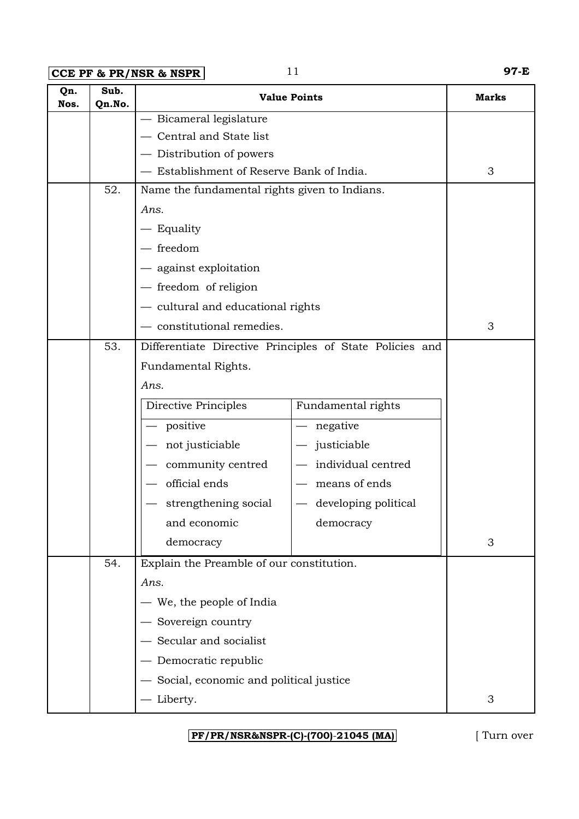**CCE PF & PR/NSR & NSPR** 11 **97-E** 

| Qn.<br>Nos. | Sub.<br>Qn.No. |                                                          | <b>Value Points</b>  | <b>Marks</b> |
|-------------|----------------|----------------------------------------------------------|----------------------|--------------|
|             |                | - Bicameral legislature                                  |                      |              |
|             |                | Central and State list                                   |                      |              |
|             |                | - Distribution of powers                                 |                      |              |
|             |                | - Establishment of Reserve Bank of India.                |                      | 3            |
|             | 52.            | Name the fundamental rights given to Indians.            |                      |              |
|             |                | Ans.                                                     |                      |              |
|             |                | — Equality                                               |                      |              |
|             |                | $-$ freedom                                              |                      |              |
|             |                | - against exploitation                                   |                      |              |
|             |                | - freedom of religion                                    |                      |              |
|             |                | - cultural and educational rights                        |                      |              |
|             |                | $-$ constitutional remedies.                             | 3                    |              |
|             | 53.            | Differentiate Directive Principles of State Policies and |                      |              |
|             |                | Fundamental Rights.                                      |                      |              |
|             |                | Ans.                                                     |                      |              |
|             |                | Directive Principles                                     | Fundamental rights   |              |
|             |                | positive                                                 | - negative           |              |
|             |                | not justiciable                                          | justiciable          |              |
|             |                | community centred                                        |                      |              |
|             |                | official ends                                            |                      |              |
|             |                | strengthening social                                     | developing political |              |
|             |                | and economic                                             | democracy            |              |
|             |                | democracy                                                |                      | 3            |
|             | 54.            | Explain the Preamble of our constitution.                |                      |              |
|             |                | Ans.                                                     |                      |              |
|             |                | - We, the people of India                                |                      |              |
|             |                | - Sovereign country                                      |                      |              |
|             |                | - Secular and socialist                                  |                      |              |
|             |                | — Democratic republic                                    |                      |              |
|             |                | Social, economic and political justice                   |                      |              |
|             |                | Liberty.                                                 |                      | 3            |